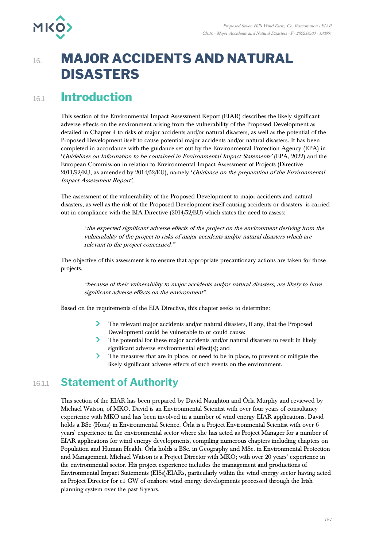

# 16. **MAJOR ACCIDENTS AND NATURAL DISASTERS**

# 16.1 **Introduction**

This section of the Environmental Impact Assessment Report (EIAR) describes the likely significant adverse effects on the environment arising from the vulnerability of the Proposed Development as detailed in Chapter 4 to risks of major accidents and/or natural disasters, as well as the potential of the Proposed Development itself to cause potential major accidents and/or natural disasters. It has been completed in accordance with the guidance set out by the Environmental Protection Agency (EPA) in 'Guidelines on Information to be contained in Environmental Impact Statements' (EPA, 2022) and the European Commission in relation to Environmental Impact Assessment of Projects (Directive 2011/92/EU, as amended by 2014/52/EU), namely 'Guidance on the preparation of the Environmental Impact Assessment Report'.

The assessment of the vulnerability of the Proposed Development to major accidents and natural disasters, as well as the risk of the Proposed Development itself causing accidents or disasters is carried out in compliance with the EIA Directive (2014/52/EU) which states the need to assess:

"the expected significant adverse effects of the project on the environment deriving from the vulnerability of the project to risks of major accidents and/or natural disasters which are relevant to the project concerned."

The objective of this assessment is to ensure that appropriate precautionary actions are taken for those projects.

"because of their vulnerability to major accidents and/or natural disasters, are likely to have significant adverse effects on the environment".

Based on the requirements of the EIA Directive, this chapter seeks to determine:

- $\blacktriangleright$ The relevant major accidents and/or natural disasters, if any, that the Proposed Development could be vulnerable to or could cause;
- The potential for these major accidents and/or natural disasters to result in likely significant adverse environmental effect(s); and
- $\blacktriangleright$ The measures that are in place, or need to be in place, to prevent or mitigate the likely significant adverse effects of such events on the environment.

# 16.1.1 **Statement of Authority**

This section of the EIAR has been prepared by David Naughton and Órla Murphy and reviewed by Michael Watson, of MKO. David is an Environmental Scientist with over four years of consultancy experience with MKO and has been involved in a number of wind energy EIAR applications. David holds a BSc (Hons) in Environmental Science. Órla is a Project Environmental Scientist with over 6 years' experience in the environmental sector where she has acted as Project Manager for a number of EIAR applications for wind energy developments, compiling numerous chapters including chapters on Population and Human Health. Órla holds a BSc. in Geography and MSc. in Environmental Protection and Management. Michael Watson is a Project Director with MKO; with over 20 years' experience in the environmental sector. His project experience includes the management and productions of Environmental Impact Statements (EISs)/EIARs, particularly within the wind energy sector having acted as Project Director for c1 GW of onshore wind energy developments processed through the Irish planning system over the past 8 years.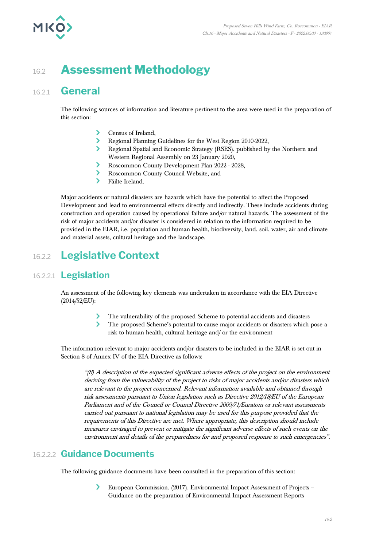

# 16.2 **Assessment Methodology**

### 16.2.1 **General**

The following sources of information and literature pertinent to the area were used in the preparation of this section:

- Census of Ireland,
- Regional Planning Guidelines for the West Region 2010-2022,
- $\sum_{i=1}^{n}$ Regional Spatial and Economic Strategy (RSES), published by the Northern and Western Regional Assembly on 23 January 2020,
- Roscommon County Development Plan 2022 2028,
- Roscommon County Council Website, and
- Fáilte Ireland.

Major accidents or natural disasters are hazards which have the potential to affect the Proposed Development and lead to environmental effects directly and indirectly. These include accidents during construction and operation caused by operational failure and/or natural hazards. The assessment of the risk of major accidents and/or disaster is considered in relation to the information required to be provided in the EIAR, i.e. population and human health, biodiversity, land, soil, water, air and climate and material assets, cultural heritage and the landscape.

# 16.2.2 **Legislative Context**

#### 16.2.2.1 **Legislation**

An assessment of the following key elements was undertaken in accordance with the EIA Directive (2014/52/EU):

- The vulnerability of the proposed Scheme to potential accidents and disasters
- $\overline{\phantom{0}}$ The proposed Scheme's potential to cause major accidents or disasters which pose a risk to human health, cultural heritage and/ or the environment

The information relevant to major accidents and/or disasters to be included in the EIAR is set out in Section 8 of Annex IV of the EIA Directive as follows:

"(8) A description of the expected significant adverse effects of the project on the environment deriving from the vulnerability of the project to risks of major accidents and/or disasters which are relevant to the project concerned. Relevant information available and obtained through risk assessments pursuant to Union legislation such as Directive 2012/18/EU of the European Parliament and of the Council or Council Directive 2009/71/Euratom or relevant assessments carried out pursuant to national legislation may be used for this purpose provided that the requirements of this Directive are met. Where appropriate, this description should include measures envisaged to prevent or mitigate the significant adverse effects of such events on the environment and details of the preparedness for and proposed response to such emergencies".

#### 16.2.2.2 **Guidance Documents**

The following guidance documents have been consulted in the preparation of this section:

European Commission. (2017). Environmental Impact Assessment of Projects – Guidance on the preparation of Environmental Impact Assessment Reports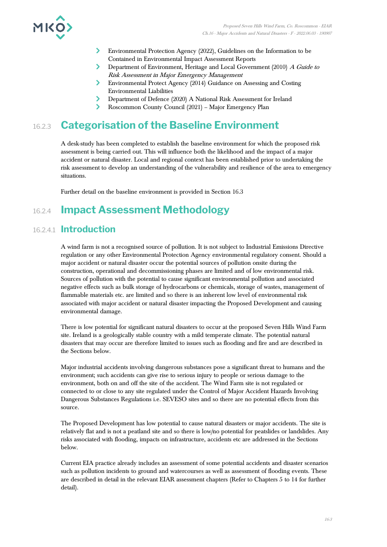

- $\blacktriangleright$ Environmental Protection Agency (2022), Guidelines on the Information to be Contained in Environmental Impact Assessment Reports
- $\sum$ Department of Environment, Heritage and Local Government (2010) A Guide to Risk Assessment in Major Emergency Management
- Environmental Protect Agency (2014) Guidance on Assessing and Costing Environmental Liabilities
- Department of Defence (2020) A National Risk Assessment for Ireland
- Roscommon County Council (2021) Major Emergency Plan

# 16.2.3 **Categorisation of the Baseline Environment**

A desk-study has been completed to establish the baseline environment for which the proposed risk assessment is being carried out. This will influence both the likelihood and the impact of a major accident or natural disaster. Local and regional context has been established prior to undertaking the risk assessment to develop an understanding of the vulnerability and resilience of the area to emergency situations.

Further detail on the baseline environment is provided in Section 16.3

# 16.2.4 **Impact Assessment Methodology**

#### 16.2.4.1 **Introduction**

A wind farm is not a recognised source of pollution. It is not subject to Industrial Emissions Directive regulation or any other Environmental Protection Agency environmental regulatory consent. Should a major accident or natural disaster occur the potential sources of pollution onsite during the construction, operational and decommissioning phases are limited and of low environmental risk. Sources of pollution with the potential to cause significant environmental pollution and associated negative effects such as bulk storage of hydrocarbons or chemicals, storage of wastes, management of flammable materials etc. are limited and so there is an inherent low level of environmental risk associated with major accident or natural disaster impacting the Proposed Development and causing environmental damage.

There is low potential for significant natural disasters to occur at the proposed Seven Hills Wind Farm site. Ireland is a geologically stable country with a mild temperate climate. The potential natural disasters that may occur are therefore limited to issues such as flooding and fire and are described in the Sections below.

Major industrial accidents involving dangerous substances pose a significant threat to humans and the environment; such accidents can give rise to serious injury to people or serious damage to the environment, both on and off the site of the accident. The Wind Farm site is not regulated or connected to or close to any site regulated under the Control of Major Accident Hazards Involving Dangerous Substances Regulations i.e. SEVESO sites and so there are no potential effects from this source.

The Proposed Development has low potential to cause natural disasters or major accidents. The site is relatively flat and is not a peatland site and so there is low/no potential for peatslides or landslides. Any risks associated with flooding, impacts on infrastructure, accidents etc are addressed in the Sections below.

Current EIA practice already includes an assessment of some potential accidents and disaster scenarios such as pollution incidents to ground and watercourses as well as assessment of flooding events. These are described in detail in the relevant EIAR assessment chapters (Refer to Chapters 5 to 14 for further detail).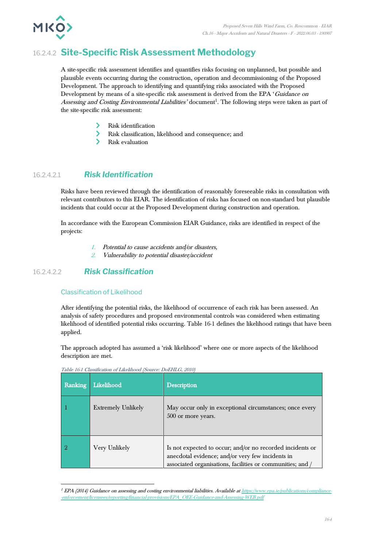

### 16.2.4.2 **Site-Specific Risk Assessment Methodology**

A site-specific risk assessment identifies and quantifies risks focusing on unplanned, but possible and plausible events occurring during the construction, operation and decommissioning of the Proposed Development. The approach to identifying and quantifying risks associated with the Proposed Development by means of a site-specific risk assessment is derived from the EPA 'Guidance on Assessing and Costing Environmental Liabilities' document<sup>1</sup>. The following steps were taken as part of the site-specific risk assessment:

- $\blacktriangleright$ Risk identification
- $\mathbf{\Sigma}$ Risk classification, likelihood and consequence; and
- $\overline{\phantom{0}}$ Risk evaluation

#### 16.2.4.2.1 *Risk Identification*

Risks have been reviewed through the identification of reasonably foreseeable risks in consultation with relevant contributors to this EIAR. The identification of risks has focused on non-standard but plausible incidents that could occur at the Proposed Development during construction and operation.

In accordance with the European Commission EIAR Guidance, risks are identified in respect of the projects:

- 1. Potential to cause accidents and/or disasters,
- 2. Vulnerability to potential disaster/accident

#### 16.2.4.2.2 *Risk Classification*

#### Classification of Likelihood

After identifying the potential risks, the likelihood of occurrence of each risk has been assessed. An analysis of safety procedures and proposed environmental controls was considered when estimating likelihood of identified potential risks occurring. Table 16-1 defines the likelihood ratings that have been applied.

The approach adopted has assumed a 'risk likelihood' where one or more aspects of the likelihood description are met.

| Ranking | Likelihood                | Description                                                                                                                                                               |
|---------|---------------------------|---------------------------------------------------------------------------------------------------------------------------------------------------------------------------|
|         | <b>Extremely Unlikely</b> | May occur only in exceptional circumstances; once every<br>500 or more years.                                                                                             |
|         | Very Unlikely             | Is not expected to occur; and/or no recorded incidents or<br>anecdotal evidence; and/or very few incidents in<br>associated organisations, facilities or communities; and |

Table 16-1 Classification of Likelihood (Source: DoEHLG, 2010)

 $1$  EPA (2014) Guidance on assessing and costing environmental liabilities. Available a[t https://www.epa.ie/publications/compliance-](https://www.epa.ie/publications/compliance--enforcement/licensees/reporting/financial-provisions/EPA_OEE-Guidance-and-Assessing-WEB.pdf) [-enforcement/licensees/reporting/financial-provisions/EPA\\_OEE-Guidance-and-Assessing-WEB.pdf](https://www.epa.ie/publications/compliance--enforcement/licensees/reporting/financial-provisions/EPA_OEE-Guidance-and-Assessing-WEB.pdf)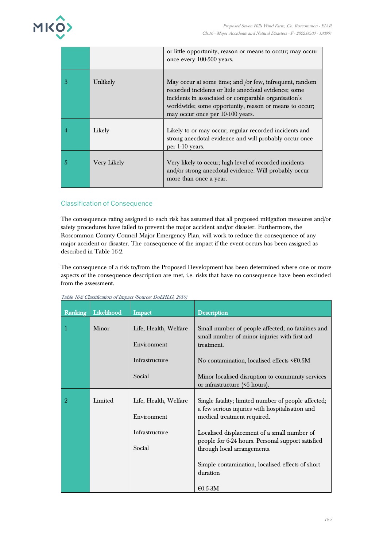

|   |             | or little opportunity, reason or means to occur; may occur<br>once every 100-500 years.                                                                                                                                                                                |
|---|-------------|------------------------------------------------------------------------------------------------------------------------------------------------------------------------------------------------------------------------------------------------------------------------|
| 3 | Unlikely    | May occur at some time; and /or few, infrequent, random<br>recorded incidents or little anecdotal evidence; some<br>incidents in associated or comparable organisation's<br>worldwide; some opportunity, reason or means to occur;<br>may occur once per 10-100 years. |
|   | Likely      | Likely to or may occur; regular recorded incidents and<br>strong anecdotal evidence and will probably occur once<br>per 1-10 years.                                                                                                                                    |
| 5 | Very Likely | Very likely to occur; high level of recorded incidents<br>and/or strong anecdotal evidence. Will probably occur<br>more than once a year.                                                                                                                              |

#### Classification of Consequence

The consequence rating assigned to each risk has assumed that all proposed mitigation measures and/or safety procedures have failed to prevent the major accident and/or disaster. Furthermore, the Roscommon County Council Major Emergency Plan, will work to reduce the consequence of any major accident or disaster. The consequence of the impact if the event occurs has been assigned as described in Table 16-2.

The consequence of a risk to/from the Proposed Development has been determined where one or more aspects of the consequence description are met, i.e. risks that have no consequence have been excluded from the assessment.

| Ranking        | Likelihood | Impact                               | <b>Description</b>                                                                                                                    |
|----------------|------------|--------------------------------------|---------------------------------------------------------------------------------------------------------------------------------------|
|                | Minor      | Life, Health, Welfare<br>Environment | Small number of people affected; no fatalities and<br>small number of minor injuries with first aid<br>treatment.                     |
|                |            | Infrastructure                       | No contamination, localised effects $\leq 60.5M$                                                                                      |
|                |            | Social                               | Minor localised disruption to community services<br>or infrastructure (<6 hours).                                                     |
| $\overline{2}$ | Limited    | Life, Health, Welfare<br>Environment | Single fatality; limited number of people affected;<br>a few serious injuries with hospitalisation and<br>medical treatment required. |
|                |            | Infrastructure<br>Social             | Localised displacement of a small number of<br>people for 6-24 hours. Personal support satisfied<br>through local arrangements.       |
|                |            |                                      | Simple contamination, localised effects of short<br>duration                                                                          |
|                |            |                                      | $€0.5-3M$                                                                                                                             |

Table 16-2 Classification of Impact (Source: DoEHLG, 2010)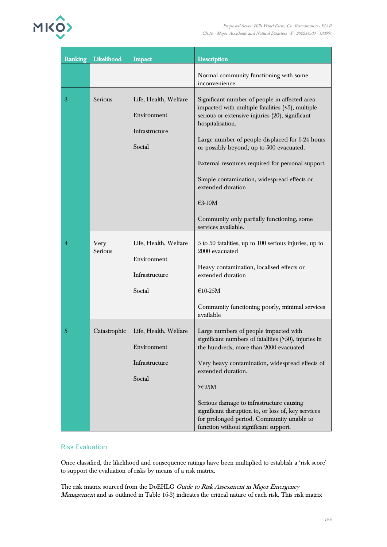

| Ranking        | Likelihood      | <b>Impact</b>                                                    | <b>Description</b>                                                                                                                                                                                                                                                                                                                                                                                                                                                                |
|----------------|-----------------|------------------------------------------------------------------|-----------------------------------------------------------------------------------------------------------------------------------------------------------------------------------------------------------------------------------------------------------------------------------------------------------------------------------------------------------------------------------------------------------------------------------------------------------------------------------|
|                |                 |                                                                  | Normal community functioning with some<br>inconvenience.                                                                                                                                                                                                                                                                                                                                                                                                                          |
| 3              | Serious         | Life, Health, Welfare<br>Environment<br>Infrastructure<br>Social | Significant number of people in affected area<br>impacted with multiple fatalities $(5)$ , multiple<br>serious or extensive injuries (20), significant<br>hospitalisation.<br>Large number of people displaced for 6-24 hours<br>or possibly beyond; up to 500 evacuated.<br>External resources required for personal support.<br>Simple contamination, widespread effects or<br>extended duration<br>€3-10M<br>Community only partially functioning, some<br>services available. |
| 4              | Very<br>Serious | Life, Health, Welfare<br>Environment<br>Infrastructure<br>Social | 5 to 50 fatalities, up to 100 serious injuries, up to<br>2000 evacuated<br>Heavy contamination, localised effects or<br>extended duration<br>$€10-25M$<br>Community functioning poorly, minimal services<br>available                                                                                                                                                                                                                                                             |
| $\overline{5}$ | Catastrophic    | Life, Health, Welfare<br>Environment<br>Infrastructure<br>Social | Large numbers of people impacted with<br>significant numbers of fatalities $($ >50), injuries in<br>the hundreds, more than 2000 evacuated.<br>Very heavy contamination, widespread effects of<br>extended duration.<br>>E25M<br>Serious damage to infrastructure causing<br>significant disruption to, or loss of, key services<br>for prolonged period. Community unable to<br>function without significant support.                                                            |

#### Risk Evaluation

Once classified, the likelihood and consequence ratings have been multiplied to establish a 'risk score' to support the evaluation of risks by means of a risk matrix.

The risk matrix sourced from the DoEHLG Guide to Risk Assessment in Major Emergency Management and as outlined in Table 16-3) indicates the critical nature of each risk. This risk matrix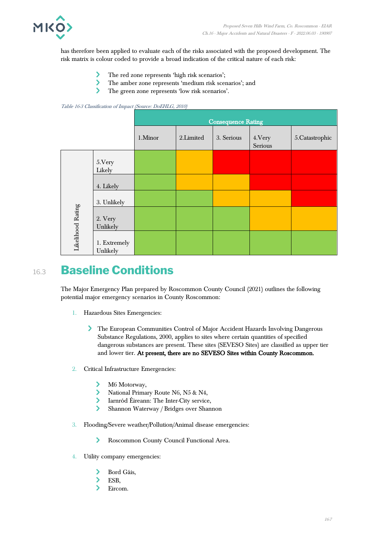

has therefore been applied to evaluate each of the risks associated with the proposed development. The risk matrix is colour coded to provide a broad indication of the critical nature of each risk:

- ⋗ The red zone represents 'high risk scenarios';
- $\mathbf{\Sigma}$ The amber zone represents 'medium risk scenarios'; and
- $\overline{\phantom{0}}$ The green zone represents 'low risk scenarios'.

Table 16-3 Classification of Impact (Source: DoEHLG, 2010)

|                   |                          | <b>Consequence Rating</b> |           |            |                    |                 |  |  |  |
|-------------------|--------------------------|---------------------------|-----------|------------|--------------------|-----------------|--|--|--|
|                   |                          | 1.Minor                   | 2.Limited | 3. Serious | 4. Very<br>Serious | 5. Catastrophic |  |  |  |
|                   | 5.Very<br>Likely         |                           |           |            |                    |                 |  |  |  |
|                   | 4. Likely                |                           |           |            |                    |                 |  |  |  |
|                   | 3. Unlikely              |                           |           |            |                    |                 |  |  |  |
| Likelihood Rating | 2. Very<br>Unlikely      |                           |           |            |                    |                 |  |  |  |
|                   | 1. Extremely<br>Unlikely |                           |           |            |                    |                 |  |  |  |

# 16.3 **Baseline Conditions**

The Major Emergency Plan prepared by Roscommon County Council (2021) outlines the following potential major emergency scenarios in County Roscommon:

- 1. Hazardous Sites Emergencies:
	- The European Communities Control of Major Accident Hazards Involving Dangerous Substance Regulations, 2000, applies to sites where certain quantities of specified dangerous substances are present. These sites (SEVESO Sites) are classified as upper tier and lower tier. At present, there are no SEVESO Sites within County Roscommon.
- 2. Critical Infrastructure Emergencies:
	- M6 Motorway, ゝ
	- $\blacktriangleright$ National Primary Route N6, N5 & N4,
	- $\blacktriangleright$ Iarnród Éireann: The Inter-City service,
	- $\overline{\phantom{0}}$ Shannon Waterway / Bridges over Shannon
- 3. Flooding/Severe weather/Pollution/Animal disease emergencies:
	- $\blacktriangleright$ Roscommon County Council Functional Area.
- 4. Utility company emergencies:
	- $\mathcal Y$ Bord Gáis,
	- $\blacktriangleright$ ESB,
	- $\overline{\phantom{0}}$ Eircom.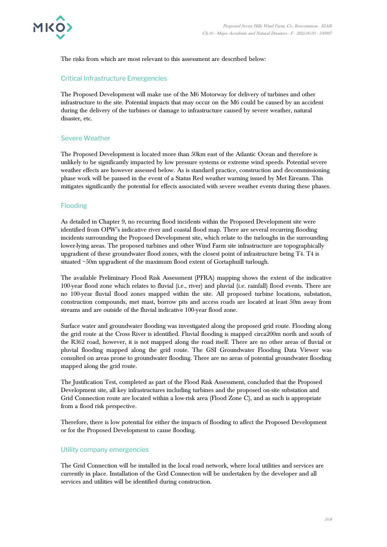

The risks from which are most relevant to this assessment are described below:

#### Critical Infrastructure Emergencies

The Proposed Development will make use of the M6 Motorway for delivery of turbines and other infrastructure to the site. Potential impacts that may occur on the M6 could be caused by an accident during the delivery of the turbines or damage to infrastructure caused by severe weather, natural disaster, etc.

#### Severe Weather

The Proposed Development is located more than 50km east of the Atlantic Ocean and therefore is unlikely to be significantly impacted by low pressure systems or extreme wind speeds. Potential severe weather effects are however assessed below. As is standard practice, construction and decommissioning phase work will be paused in the event of a Status Red weather warning issued by Met Eireann. This mitigates significantly the potential for effects associated with severe weather events during these phases.

#### Flooding

As detailed in Chapter 9, no recurring flood incidents within the Proposed Development site were identified from OPW's indicative river and coastal flood map. There are several recurring flooding incidents surrounding the Proposed Development site, which relate to the turloughs in the surrounding lower-lying areas. The proposed turbines and other Wind Farm site infrastructure are topographically upgradient of these groundwater flood zones, with the closest point of infrastructure being T4. T4 is situated ~50m upgradient of the maximum flood extent of Gortaphuill turlough.

The available Preliminary Flood Risk Assessment (PFRA) mapping shows the extent of the indicative 100-year flood zone which relates to fluvial (i.e., river) and pluvial (i.e. rainfall) flood events. There are no 100-year fluvial flood zones mapped within the site. All proposed turbine locations, substation, construction compounds, met mast, borrow pits and access roads are located at least 50m away from streams and are outside of the fluvial indicative 100-year flood zone.

Surface water and groundwater flooding was investigated along the proposed grid route. Flooding along the grid route at the Cross River is identified. Fluvial flooding is mapped circa200m north and south of the R362 road, however, it is not mapped along the road itself. There are no other areas of fluvial or pluvial flooding mapped along the grid route. The GSI Groundwater Flooding Data Viewer was consulted on areas prone to groundwater flooding. There are no areas of potential groundwater flooding mapped along the grid route.

The Justification Test, completed as part of the Flood Risk Assessment, concluded that the Proposed Development site, all key infrastructures including turbines and the proposed on-site substation and Grid Connection route are located within a low-risk area (Flood Zone C), and as such is appropriate from a flood risk perspective.

Therefore, there is low potential for either the impacts of flooding to affect the Proposed Development or for the Proposed Development to cause flooding.

#### Utility company emergencies

The Grid Connection will be installed in the local road network, where local utilities and services are currently in place. Installation of the Grid Connection will be undertaken by the developer and all services and utilities will be identified during construction.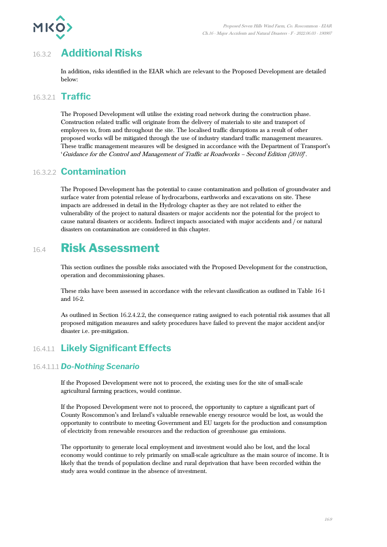

# 16.3.2 **Additional Risks**

In addition, risks identified in the EIAR which are relevant to the Proposed Development are detailed below:

#### 16.3.2.1 **Traffic**

The Proposed Development will utilise the existing road network during the construction phase. Construction related traffic will originate from the delivery of materials to site and transport of employees to, from and throughout the site. The localised traffic disruptions as a result of other proposed works will be mitigated through the use of industry standard traffic management measures. These traffic management measures will be designed in accordance with the Department of Transport's 'Guidance for the Control and Management of Traffic at Roadworks – Second Edition (2010)'.

#### 16.3.2.2 **Contamination**

The Proposed Development has the potential to cause contamination and pollution of groundwater and surface water from potential release of hydrocarbons, earthworks and excavations on site. These impacts are addressed in detail in the Hydrology chapter as they are not related to either the vulnerability of the project to natural disasters or major accidents nor the potential for the project to cause natural disasters or accidents. Indirect impacts associated with major accidents and / or natural disasters on contamination are considered in this chapter.

# 16.4 **Risk Assessment**

This section outlines the possible risks associated with the Proposed Development for the construction, operation and decommissioning phases.

These risks have been assessed in accordance with the relevant classification as outlined in Table 16-1 and 16-2.

As outlined in Section 16.2.4.2.2, the consequence rating assigned to each potential risk assumes that all proposed mitigation measures and safety procedures have failed to prevent the major accident and/or disaster i.e. pre-mitigation.

### 16.4.1.1 **Likely Significant Effects**

#### 16.4.1.1.1 *Do-Nothing Scenario*

If the Proposed Development were not to proceed, the existing uses for the site of small-scale agricultural farming practices, would continue.

If the Proposed Development were not to proceed, the opportunity to capture a significant part of County Roscommon's and Ireland's valuable renewable energy resource would be lost, as would the opportunity to contribute to meeting Government and EU targets for the production and consumption of electricity from renewable resources and the reduction of greenhouse gas emissions.

The opportunity to generate local employment and investment would also be lost, and the local economy would continue to rely primarily on small-scale agriculture as the main source of income. It is likely that the trends of population decline and rural deprivation that have been recorded within the study area would continue in the absence of investment.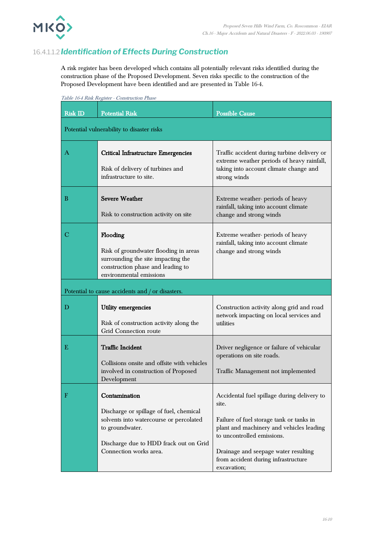

#### 16.4.1.1.2*Identification of Effects During Construction*

A risk register has been developed which contains all potentially relevant risks identified during the construction phase of the Proposed Development. Seven risks specific to the construction of the Proposed Development have been identified and are presented in Table 16-4.

|                | Tadie 10-4 Kisk Register - Construction Phase                                                                                                                                              |                                                                                                                                                                                                                                                                          |
|----------------|--------------------------------------------------------------------------------------------------------------------------------------------------------------------------------------------|--------------------------------------------------------------------------------------------------------------------------------------------------------------------------------------------------------------------------------------------------------------------------|
| <b>Risk ID</b> | <b>Potential Risk</b>                                                                                                                                                                      | <b>Possible Cause</b>                                                                                                                                                                                                                                                    |
|                | Potential vulnerability to disaster risks                                                                                                                                                  |                                                                                                                                                                                                                                                                          |
| Α              | <b>Critical Infrastructure Emergencies</b><br>Risk of delivery of turbines and<br>infrastructure to site.                                                                                  | Traffic accident during turbine delivery or<br>extreme weather periods of heavy rainfall,<br>taking into account climate change and<br>strong winds                                                                                                                      |
| B              | <b>Severe Weather</b><br>Risk to construction activity on site                                                                                                                             | Extreme weather-periods of heavy<br>rainfall, taking into account climate<br>change and strong winds                                                                                                                                                                     |
| C              | Flooding<br>Risk of groundwater flooding in areas<br>surrounding the site impacting the<br>construction phase and leading to<br>environmental emissions                                    | Extreme weather-periods of heavy<br>rainfall, taking into account climate<br>change and strong winds                                                                                                                                                                     |
|                | Potential to cause accidents and / or disasters.                                                                                                                                           |                                                                                                                                                                                                                                                                          |
| D              | <b>Utility emergencies</b><br>Risk of construction activity along the<br>Grid Connection route                                                                                             | Construction activity along grid and road<br>network impacting on local services and<br>utilities                                                                                                                                                                        |
| Е              | <b>Traffic Incident</b><br>Collisions onsite and offsite with vehicles<br>involved in construction of Proposed<br>Development                                                              | Driver negligence or failure of vehicular<br>operations on site roads.<br>Traffic Management not implemented                                                                                                                                                             |
| F              | Contamination<br>Discharge or spillage of fuel, chemical<br>solvents into watercourse or percolated<br>to groundwater.<br>Discharge due to HDD frack out on Grid<br>Connection works area. | Accidental fuel spillage during delivery to<br>site.<br>Failure of fuel storage tank or tanks in<br>plant and machinery and vehicles leading<br>to uncontrolled emissions.<br>Drainage and seepage water resulting<br>from accident during infrastructure<br>excavation; |

Table 16-4 Risk Register - Construction Phase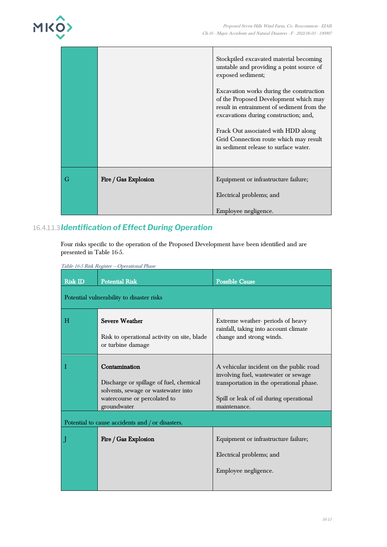

|   |                      | Stockpiled excavated material becoming<br>unstable and providing a point source of<br>exposed sediment;                                                                  |
|---|----------------------|--------------------------------------------------------------------------------------------------------------------------------------------------------------------------|
|   |                      | Excavation works during the construction<br>of the Proposed Development which may<br>result in entrainment of sediment from the<br>excavations during construction; and, |
|   |                      | Frack Out associated with HDD along<br>Grid Connection route which may result<br>in sediment release to surface water.                                                   |
| G | Fire / Gas Explosion | Equipment or infrastructure failure;<br>Electrical problems; and                                                                                                         |
|   |                      | Employee negligence.                                                                                                                                                     |

### 16.4.1.1.3*Identification of Effect During Operation*

Four risks specific to the operation of the Proposed Development have been identified and are presented in Table 16-5.

| <b>Risk ID</b> | <b>Potential Risk</b>                                                                                                                          | <b>Possible Cause</b>                                                                                                                                                                  |
|----------------|------------------------------------------------------------------------------------------------------------------------------------------------|----------------------------------------------------------------------------------------------------------------------------------------------------------------------------------------|
|                | Potential vulnerability to disaster risks                                                                                                      |                                                                                                                                                                                        |
| H              | <b>Severe Weather</b><br>Risk to operational activity on site, blade<br>or turbine damage                                                      | Extreme weather-periods of heavy<br>rainfall, taking into account climate<br>change and strong winds.                                                                                  |
| -1             | Contamination<br>Discharge or spillage of fuel, chemical<br>solvents, sewage or wastewater into<br>watercourse or percolated to<br>groundwater | A vehicular incident on the public road<br>involving fuel, wastewater or sewage<br>transportation in the operational phase.<br>Spill or leak of oil during operational<br>maintenance. |
|                | Potential to cause accidents and / or disasters.                                                                                               |                                                                                                                                                                                        |
|                | Fire / Gas Explosion                                                                                                                           | Equipment or infrastructure failure;<br>Electrical problems; and<br>Employee negligence.                                                                                               |

Table 16-5 Risk Register – Operational Phase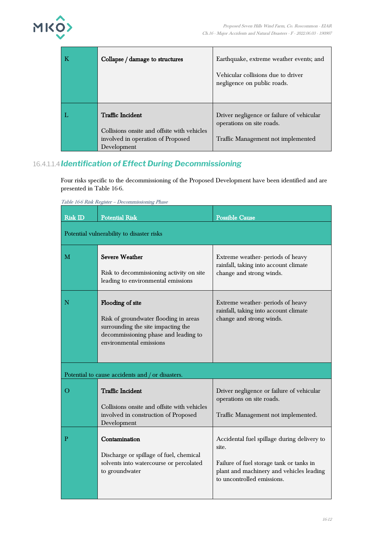

| Collapse / damage to structures                                                                                            | Earthquake, extreme weather events; and<br>Vehicular collisions due to driver<br>negligence on public roads. |
|----------------------------------------------------------------------------------------------------------------------------|--------------------------------------------------------------------------------------------------------------|
| <b>Traffic Incident</b><br>Collisions onsite and offsite with vehicles<br>involved in operation of Proposed<br>Development | Driver negligence or failure of vehicular<br>operations on site roads.<br>Traffic Management not implemented |

### 16.4.1.1.4*Identification of Effect During Decommissioning*

Four risks specific to the decommissioning of the Proposed Development have been identified and are presented in Table 16-6.

Table 16-6 Risk Register – Decommissioning Phase

| <b>Risk ID</b> | <b>Potential Risk</b>                                                                                                                                              | <b>Possible Cause</b>                                                                                                                                                      |
|----------------|--------------------------------------------------------------------------------------------------------------------------------------------------------------------|----------------------------------------------------------------------------------------------------------------------------------------------------------------------------|
|                | Potential vulnerability to disaster risks                                                                                                                          |                                                                                                                                                                            |
| M              | <b>Severe Weather</b><br>Risk to decommissioning activity on site<br>leading to environmental emissions                                                            | Extreme weather-periods of heavy<br>rainfall, taking into account climate<br>change and strong winds.                                                                      |
| N              | Flooding of site<br>Risk of groundwater flooding in areas<br>surrounding the site impacting the<br>decommissioning phase and leading to<br>environmental emissions | Extreme weather- periods of heavy<br>rainfall, taking into account climate<br>change and strong winds.                                                                     |
|                | Potential to cause accidents and / or disasters.                                                                                                                   |                                                                                                                                                                            |
| O              | <b>Traffic Incident</b><br>Collisions onsite and offsite with vehicles<br>involved in construction of Proposed<br>Development                                      | Driver negligence or failure of vehicular<br>operations on site roads.<br>Traffic Management not implemented.                                                              |
| P              | Contamination<br>Discharge or spillage of fuel, chemical<br>solvents into watercourse or percolated<br>to groundwater                                              | Accidental fuel spillage during delivery to<br>site.<br>Failure of fuel storage tank or tanks in<br>plant and machinery and vehicles leading<br>to uncontrolled emissions. |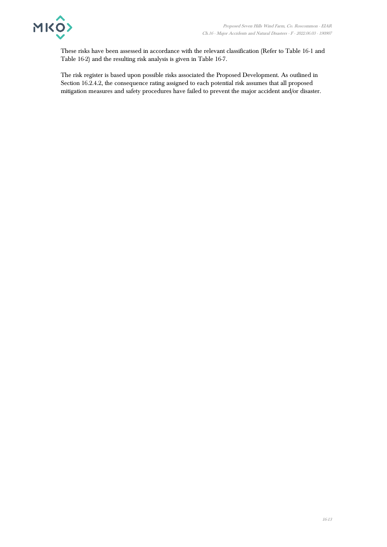

These risks have been assessed in accordance with the relevant classification (Refer to Table 16-1 and Table 16-2) and the resulting risk analysis is given in Table 16-7.

The risk register is based upon possible risks associated the Proposed Development. As outlined in Section 16.2.4.2, the consequence rating assigned to each potential risk assumes that all proposed mitigation measures and safety procedures have failed to prevent the major accident and/or disaster.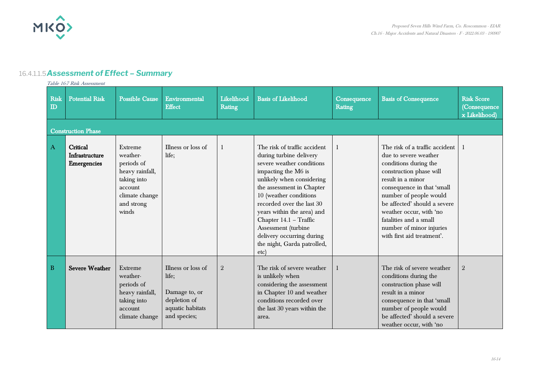

### 16.4.1.1.5*Assessment of Effect – Summary*

Table 16-7 Risk Assessment

| <b>Risk</b><br>$\mathbf{D}$ | <b>Potential Risk</b><br><b>Construction Phase</b> | <b>Possible Cause</b>                                                                                                   | Environmental<br><b>Effect</b>                                                                   | Likelihood<br><b>Rating</b> | <b>Basis of Likelihood</b>                                                                                                                                                                                                                                                                                                                                                      | Consequence<br>Rating | <b>Basis of Consequence</b>                                                                                                                                                                                                                                                                                                             | <b>Risk Score</b><br>(Consequence<br>x Likelihood) |
|-----------------------------|----------------------------------------------------|-------------------------------------------------------------------------------------------------------------------------|--------------------------------------------------------------------------------------------------|-----------------------------|---------------------------------------------------------------------------------------------------------------------------------------------------------------------------------------------------------------------------------------------------------------------------------------------------------------------------------------------------------------------------------|-----------------------|-----------------------------------------------------------------------------------------------------------------------------------------------------------------------------------------------------------------------------------------------------------------------------------------------------------------------------------------|----------------------------------------------------|
| A                           | Critical<br>Infrastructure<br><b>Emergencies</b>   | Extreme<br>weather-<br>periods of<br>heavy rainfall,<br>taking into<br>account<br>climate change<br>and strong<br>winds | Illness or loss of<br>life;                                                                      |                             | The risk of traffic accident<br>during turbine delivery<br>severe weather conditions<br>impacting the M6 is<br>unlikely when considering<br>the assessment in Chapter<br>10 (weather conditions<br>recorded over the last 30<br>years within the area) and<br>Chapter 14.1 - Traffic<br>Assessment (turbine<br>delivery occurring during<br>the night, Garda patrolled,<br>etc) |                       | The risk of a traffic accident<br>due to severe weather<br>conditions during the<br>construction phase will<br>result in a minor<br>consequence in that 'small<br>number of people would<br>be affected' should a severe<br>weather occur, with 'no<br>fatalities and a small<br>number of minor injuries<br>with first aid treatment'. | -1                                                 |
| B                           | <b>Severe Weather</b>                              | Extreme<br>weather-<br>periods of<br>heavy rainfall,<br>taking into<br>account<br>climate change                        | Illness or loss of<br>life;<br>Damage to, or<br>depletion of<br>aquatic habitats<br>and species; | $\,2\,$                     | The risk of severe weather<br>is unlikely when<br>considering the assessment<br>in Chapter 10 and weather<br>conditions recorded over<br>the last 30 years within the<br>area.                                                                                                                                                                                                  |                       | The risk of severe weather<br>conditions during the<br>construction phase will<br>result in a minor<br>consequence in that 'small<br>number of people would<br>be affected' should a severe<br>weather occur, with 'no                                                                                                                  | $\boldsymbol{2}$                                   |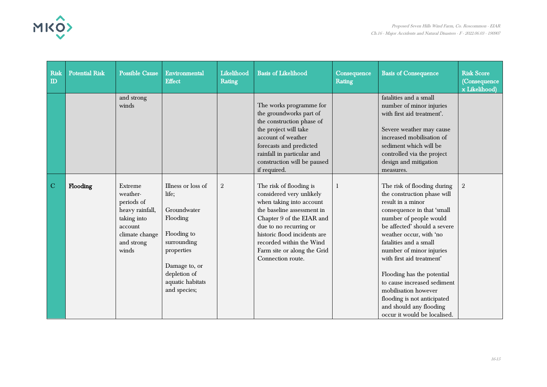

| Risk<br>$\mathbf{D}$ | <b>Potential Risk</b> | <b>Possible Cause</b>                                                                                                   | Environmental<br><b>Effect</b>                                                                                                                                          | Likelihood<br>Rating | <b>Basis of Likelihood</b>                                                                                                                                                                                                                                                           | Consequence<br>Rating | <b>Basis of Consequence</b>                                                                                                                                                                                                                                                                                                                                                                                                                                          | <b>Risk Score</b><br>(Consequence<br>x Likelihood) |
|----------------------|-----------------------|-------------------------------------------------------------------------------------------------------------------------|-------------------------------------------------------------------------------------------------------------------------------------------------------------------------|----------------------|--------------------------------------------------------------------------------------------------------------------------------------------------------------------------------------------------------------------------------------------------------------------------------------|-----------------------|----------------------------------------------------------------------------------------------------------------------------------------------------------------------------------------------------------------------------------------------------------------------------------------------------------------------------------------------------------------------------------------------------------------------------------------------------------------------|----------------------------------------------------|
|                      |                       | and strong<br>winds                                                                                                     |                                                                                                                                                                         |                      | The works programme for<br>the groundworks part of<br>the construction phase of<br>the project will take<br>account of weather<br>forecasts and predicted<br>rainfall in particular and<br>construction will be paused<br>if required.                                               |                       | fatalities and a small<br>number of minor injuries<br>with first aid treatment'.<br>Severe weather may cause<br>increased mobilisation of<br>sediment which will be<br>controlled via the project<br>design and mitigation<br>measures.                                                                                                                                                                                                                              |                                                    |
| $\overline{C}$       | Flooding              | Extreme<br>weather-<br>periods of<br>heavy rainfall,<br>taking into<br>account<br>climate change<br>and strong<br>winds | Illness or loss of<br>life;<br>Groundwater<br>Flooding<br>Flooding to<br>surrounding<br>properties<br>Damage to, or<br>depletion of<br>aquatic habitats<br>and species; | $\sqrt{2}$           | The risk of flooding is<br>considered very unlikely<br>when taking into account<br>the baseline assessment in<br>Chapter 9 of the EIAR and<br>due to no recurring or<br>historic flood incidents are<br>recorded within the Wind<br>Farm site or along the Grid<br>Connection route. |                       | The risk of flooding during<br>the construction phase will<br>result in a minor<br>consequence in that 'small<br>number of people would<br>be affected' should a severe<br>weather occur, with 'no<br>fatalities and a small<br>number of minor injuries<br>with first aid treatment'<br>Flooding has the potential<br>to cause increased sediment<br>mobilisation however<br>flooding is not anticipated<br>and should any flooding<br>occur it would be localised. | $\sqrt{2}$                                         |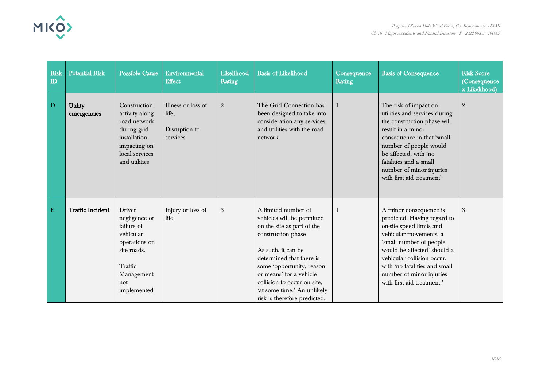

| <b>Risk</b><br>$\mathbf{D}$ | <b>Potential Risk</b>         | <b>Possible Cause</b>                                                                                                                    | Environmental<br><b>Effect</b>                           | Likelihood<br>Rating | <b>Basis of Likelihood</b>                                                                                                                                                                                                                                                                                    | Consequence<br>Rating                                                                                                                                                                                                                                                                                | <b>Basis of Consequence</b>                                                                                                                                                                                                                                                    | <b>Risk Score</b><br>(Consequence<br>x Likelihood) |
|-----------------------------|-------------------------------|------------------------------------------------------------------------------------------------------------------------------------------|----------------------------------------------------------|----------------------|---------------------------------------------------------------------------------------------------------------------------------------------------------------------------------------------------------------------------------------------------------------------------------------------------------------|------------------------------------------------------------------------------------------------------------------------------------------------------------------------------------------------------------------------------------------------------------------------------------------------------|--------------------------------------------------------------------------------------------------------------------------------------------------------------------------------------------------------------------------------------------------------------------------------|----------------------------------------------------|
| D                           | <b>Utility</b><br>emergencies | Construction<br>activity along<br>road network<br>during grid<br>installation<br>impacting on<br>local services<br>and utilities         | Illness or loss of<br>life;<br>Disruption to<br>services | $\sqrt{2}$           | The Grid Connection has<br>been designed to take into<br>consideration any services<br>and utilities with the road<br>network.                                                                                                                                                                                |                                                                                                                                                                                                                                                                                                      | The risk of impact on<br>utilities and services during<br>the construction phase will<br>result in a minor<br>consequence in that 'small<br>number of people would<br>be affected, with 'no<br>fatalities and a small<br>number of minor injuries<br>with first aid treatment' | $\overline{2}$                                     |
| ${\bf E}$                   | <b>Traffic Incident</b>       | <b>Driver</b><br>negligence or<br>failure of<br>vehicular<br>operations on<br>site roads.<br>Traffic<br>Management<br>not<br>implemented | Injury or loss of<br>life.                               | 3                    | A limited number of<br>vehicles will be permitted<br>on the site as part of the<br>construction phase<br>As such, it can be<br>determined that there is<br>some 'opportunity, reason<br>or means' for a vehicle<br>collision to occur on site,<br>'at some time.' An unlikely<br>risk is therefore predicted. | A minor consequence is<br>-1<br>predicted. Having regard to<br>on-site speed limits and<br>vehicular movements, a<br>'small number of people<br>would be affected' should a<br>vehicular collision occur,<br>with 'no fatalities and small<br>number of minor injuries<br>with first aid treatment.' |                                                                                                                                                                                                                                                                                | 3                                                  |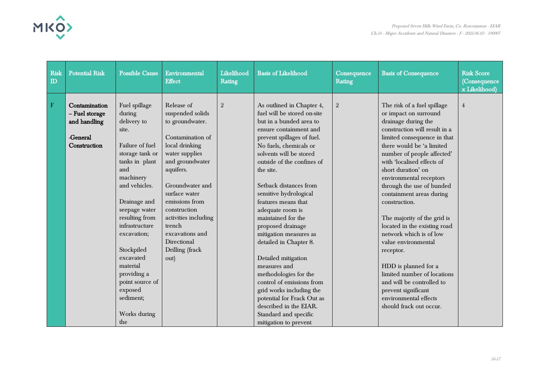

| <b>Risk</b><br>$\mathbf{D}$ | <b>Potential Risk</b>                                                       | <b>Possible Cause</b>                                                                                                                                                                                                                                                                                                                                    | Environmental<br><b>Effect</b>                                                                                                                                                                                                                                                                                 | Likelihood<br>Rating | <b>Basis of Likelihood</b>                                                                                                                                                                                                                                                                                                                                                                                                                                                                                                                                                                                                                                                   | Consequence<br>Rating | <b>Basis of Consequence</b>                                                                                                                                                                                                                                                                                                                                                                                                                                                                                                                                                                                                                                  | <b>Risk Score</b><br>(Consequence<br>x Likelihood) |
|-----------------------------|-----------------------------------------------------------------------------|----------------------------------------------------------------------------------------------------------------------------------------------------------------------------------------------------------------------------------------------------------------------------------------------------------------------------------------------------------|----------------------------------------------------------------------------------------------------------------------------------------------------------------------------------------------------------------------------------------------------------------------------------------------------------------|----------------------|------------------------------------------------------------------------------------------------------------------------------------------------------------------------------------------------------------------------------------------------------------------------------------------------------------------------------------------------------------------------------------------------------------------------------------------------------------------------------------------------------------------------------------------------------------------------------------------------------------------------------------------------------------------------------|-----------------------|--------------------------------------------------------------------------------------------------------------------------------------------------------------------------------------------------------------------------------------------------------------------------------------------------------------------------------------------------------------------------------------------------------------------------------------------------------------------------------------------------------------------------------------------------------------------------------------------------------------------------------------------------------------|----------------------------------------------------|
| ${\bf F}$                   | Contamination<br>- Fuel storage<br>and handling<br>-General<br>Construction | Fuel spillage<br>during<br>delivery to<br>site.<br>Failure of fuel<br>storage tank or<br>tanks in plant<br>and<br>machinery<br>and vehicles.<br>Drainage and<br>seepage water<br>resulting from<br>infrastructure<br>excavation;<br>Stockpiled<br>excavated<br>material<br>providing a<br>point source of<br>exposed<br>sediment;<br>Works during<br>the | Release of<br>suspended solids<br>to groundwater.<br>Contamination of<br>local drinking<br>water supplies<br>and groundwater<br>aquifers.<br>Groundwater and<br>surface water<br>emissions from<br>construction<br>activities including<br>trench<br>excavations and<br>Directional<br>Drilling (frack<br>out) | $\sqrt{2}$           | As outlined in Chapter 4,<br>fuel will be stored on-site<br>but in a bunded area to<br>ensure containment and<br>prevent spillages of fuel.<br>No fuels, chemicals or<br>solvents will be stored<br>outside of the confines of<br>the site.<br>Setback distances from<br>sensitive hydrological<br>features means that<br>adequate room is<br>maintained for the<br>proposed drainage<br>mitigation measures as<br>detailed in Chapter 8.<br>Detailed mitigation<br>measures and<br>methodologies for the<br>control of emissions from<br>grid works including the<br>potential for Frack Out as<br>described in the EIAR.<br>Standard and specific<br>mitigation to prevent | $\overline{2}$        | The risk of a fuel spillage<br>or impact on surround<br>drainage during the<br>construction will result in a<br>limited consequence in that<br>there would be 'a limited<br>number of people affected'<br>with 'localised effects of<br>short duration' on<br>environmental receptors<br>through the use of bunded<br>containment areas during<br>construction.<br>The majority of the grid is<br>located in the existing road<br>network which is of low<br>value environmental<br>receptor.<br>HDD is planned for a<br>limited number of locations<br>and will be controlled to<br>prevent significant<br>environmental effects<br>should frack out occur. | $\overline{4}$                                     |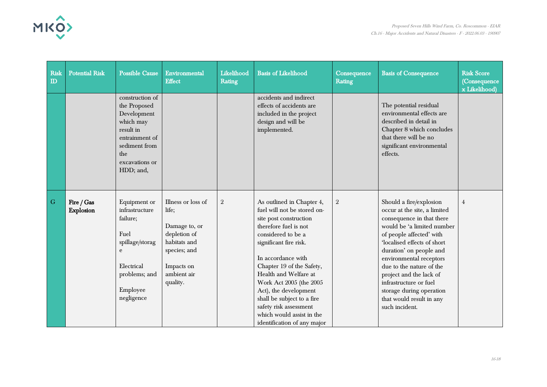

| Risk<br>$\Box$ | <b>Potential Risk</b>          | <b>Possible Cause</b>                                                                                                                             | Environmental<br><b>Effect</b>                                                                                                        | Likelihood<br>Rating | <b>Basis of Likelihood</b>                                                                                                                                                                                                                                                                                                                                                                                      | Consequence<br>Rating | <b>Basis of Consequence</b>                                                                                                                                                                                                                                                                                                                                                                    | <b>Risk Score</b><br>(Consequence<br>x Likelihood) |
|----------------|--------------------------------|---------------------------------------------------------------------------------------------------------------------------------------------------|---------------------------------------------------------------------------------------------------------------------------------------|----------------------|-----------------------------------------------------------------------------------------------------------------------------------------------------------------------------------------------------------------------------------------------------------------------------------------------------------------------------------------------------------------------------------------------------------------|-----------------------|------------------------------------------------------------------------------------------------------------------------------------------------------------------------------------------------------------------------------------------------------------------------------------------------------------------------------------------------------------------------------------------------|----------------------------------------------------|
|                |                                | construction of<br>the Proposed<br>Development<br>which may<br>result in<br>entrainment of<br>sediment from<br>the<br>excavations or<br>HDD; and, |                                                                                                                                       |                      | accidents and indirect<br>effects of accidents are<br>included in the project<br>design and will be<br>implemented.                                                                                                                                                                                                                                                                                             |                       | The potential residual<br>environmental effects are<br>described in detail in<br>Chapter 8 which concludes<br>that there will be no<br>significant environmental<br>effects.                                                                                                                                                                                                                   |                                                    |
| $\overline{G}$ | Fire / Gas<br><b>Explosion</b> | Equipment or<br>infrastructure<br>failure;<br>Fuel<br>spillage/storag<br>e<br>Electrical<br>problems; and<br>Employee<br>negligence               | Illness or loss of<br>life;<br>Damage to, or<br>depletion of<br>habitats and<br>species; and<br>Impacts on<br>ambient air<br>quality. | $\,2$                | As outlined in Chapter 4,<br>fuel will not be stored on-<br>site post construction<br>therefore fuel is not<br>considered to be a<br>significant fire risk.<br>In accordance with<br>Chapter 19 of the Safety,<br>Health and Welfare at<br>Work Act 2005 (the 2005<br>Act), the development<br>shall be subject to a fire<br>safety risk assessment<br>which would assist in the<br>identification of any major | $\overline{2}$        | Should a fire/explosion<br>occur at the site, a limited<br>consequence in that there<br>would be 'a limited number<br>of people affected' with<br>'localised effects of short<br>duration' on people and<br>environmental receptors<br>due to the nature of the<br>project and the lack of<br>infrastructure or fuel<br>storage during operation<br>that would result in any<br>such incident. | $\overline{4}$                                     |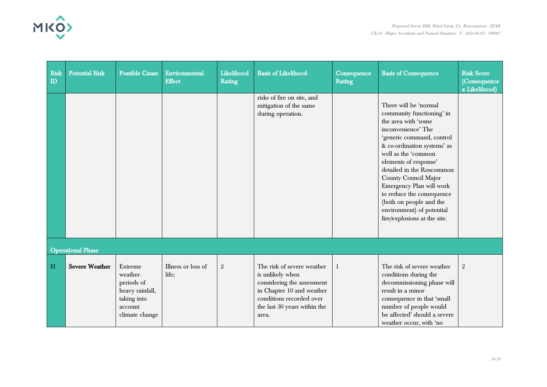

| <b>Risk</b><br>$\mathbf{D}$ | <b>Potential Risk</b>    | <b>Possible Cause</b>                                                                            | Environmental<br><b>Effect</b> | Likelihood<br>Rating | <b>Basis of Likelihood</b>                                                                                                                                                     | Consequence<br>Rating | <b>Basis of Consequence</b>                                                                                                                                                                                                                                                                                                                                                                                       | <b>Risk Score</b><br>(Consequence<br>x Likelihood) |
|-----------------------------|--------------------------|--------------------------------------------------------------------------------------------------|--------------------------------|----------------------|--------------------------------------------------------------------------------------------------------------------------------------------------------------------------------|-----------------------|-------------------------------------------------------------------------------------------------------------------------------------------------------------------------------------------------------------------------------------------------------------------------------------------------------------------------------------------------------------------------------------------------------------------|----------------------------------------------------|
|                             |                          |                                                                                                  |                                |                      | risks of fire on site, and<br>mitigation of the same<br>during operation.                                                                                                      |                       | There will be 'normal<br>community functioning' in<br>the area with 'some<br>inconvenience' The<br>'generic command, control<br>& co-ordination systems' as<br>well as the 'common<br>elements of response'<br>detailed in the Roscommon<br>County Council Major<br>Emergency Plan will work<br>to reduce the consequence<br>(both on people and the<br>environment) of potential<br>fire/explosions at the site. |                                                    |
|                             | <b>Operational Phase</b> |                                                                                                  |                                |                      |                                                                                                                                                                                |                       |                                                                                                                                                                                                                                                                                                                                                                                                                   |                                                    |
| H                           | <b>Severe Weather</b>    | Extreme<br>weather-<br>periods of<br>heavy rainfall,<br>taking into<br>account<br>climate change | Illness or loss of<br>life;    | $\mathbf{2}$         | The risk of severe weather<br>is unlikely when<br>considering the assessment<br>in Chapter 10 and weather<br>conditions recorded over<br>the last 30 years within the<br>area. | -1                    | The risk of severe weather<br>conditions during the<br>decommissioning phase will<br>result in a minor<br>consequence in that 'small<br>number of people would<br>be affected' should a severe<br>weather occur, with 'no                                                                                                                                                                                         | $\mathbf{2}$                                       |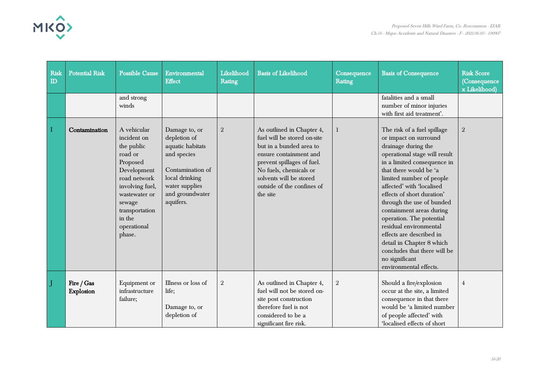

| Risk<br>$\Box$ | <b>Potential Risk</b>   | <b>Possible Cause</b>                                                                                                                                                                             | Environmental<br><b>Effect</b>                                                                                                                           | Likelihood<br>Rating | <b>Basis of Likelihood</b>                                                                                                                                                                                                                 | Consequence<br>Rating | <b>Basis of Consequence</b>                                                                                                                                                                                                                                                                                                                                                                                                                                                                                      | <b>Risk Score</b><br>(Consequence<br>x Likelihood) |
|----------------|-------------------------|---------------------------------------------------------------------------------------------------------------------------------------------------------------------------------------------------|----------------------------------------------------------------------------------------------------------------------------------------------------------|----------------------|--------------------------------------------------------------------------------------------------------------------------------------------------------------------------------------------------------------------------------------------|-----------------------|------------------------------------------------------------------------------------------------------------------------------------------------------------------------------------------------------------------------------------------------------------------------------------------------------------------------------------------------------------------------------------------------------------------------------------------------------------------------------------------------------------------|----------------------------------------------------|
|                |                         | and strong<br>winds                                                                                                                                                                               |                                                                                                                                                          |                      |                                                                                                                                                                                                                                            |                       | fatalities and a small<br>number of minor injuries<br>with first aid treatment'.                                                                                                                                                                                                                                                                                                                                                                                                                                 |                                                    |
| Π              | Contamination           | A vehicular<br>incident on<br>the public<br>road or<br>Proposed<br>Development<br>road network<br>involving fuel,<br>wastewater or<br>sewage<br>transportation<br>in the<br>operational<br>phase. | Damage to, or<br>depletion of<br>aquatic habitats<br>and species<br>Contamination of<br>local drinking<br>water supplies<br>and groundwater<br>aquifers. | $\sqrt{2}$           | As outlined in Chapter 4,<br>fuel will be stored on-site<br>but in a bunded area to<br>ensure containment and<br>prevent spillages of fuel.<br>No fuels, chemicals or<br>solvents will be stored<br>outside of the confines of<br>the site |                       | The risk of a fuel spillage<br>or impact on surround<br>drainage during the<br>operational stage will result<br>in a limited consequence in<br>that there would be 'a<br>limited number of people<br>affected' with 'localised<br>effects of short duration'<br>through the use of bunded<br>containment areas during<br>operation. The potential<br>residual environmental<br>effects are described in<br>detail in Chapter 8 which<br>concludes that there will be<br>no significant<br>environmental effects. | $\sqrt{2}$                                         |
|                | Fire / Gas<br>Explosion | Equipment or<br>infrastructure<br>failure;                                                                                                                                                        | Illness or loss of<br>life;<br>Damage to, or<br>depletion of                                                                                             | $\sqrt{2}$           | As outlined in Chapter 4,<br>fuel will not be stored on-<br>site post construction<br>therefore fuel is not<br>considered to be a<br>significant fire risk.                                                                                | $\sqrt{2}$            | Should a fire/explosion<br>occur at the site, a limited<br>consequence in that there<br>would be 'a limited number<br>of people affected' with<br>localised effects of short                                                                                                                                                                                                                                                                                                                                     | $\overline{4}$                                     |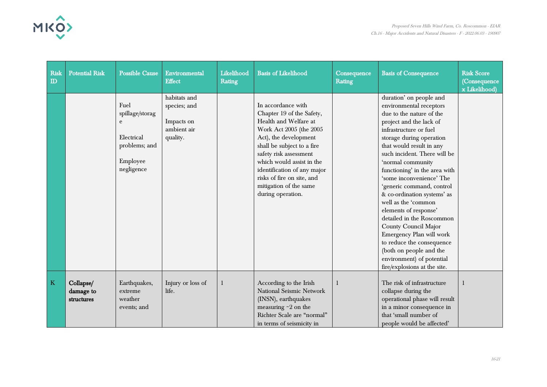

| Risk<br>$\mathbf{D}$    | <b>Potential Risk</b>                | <b>Possible Cause</b>                                                                 | Environmental<br><b>Effect</b>                                        | Likelihood<br>Rating | <b>Basis of Likelihood</b>                                                                                                                                                                                                                                                                                                    | Consequence<br>Rating | <b>Basis of Consequence</b>                                                                                                                                                                                                                                                                                                                                                                                                                                                                                                                                                                                                     | <b>Risk Score</b><br>(Consequence<br>x Likelihood) |
|-------------------------|--------------------------------------|---------------------------------------------------------------------------------------|-----------------------------------------------------------------------|----------------------|-------------------------------------------------------------------------------------------------------------------------------------------------------------------------------------------------------------------------------------------------------------------------------------------------------------------------------|-----------------------|---------------------------------------------------------------------------------------------------------------------------------------------------------------------------------------------------------------------------------------------------------------------------------------------------------------------------------------------------------------------------------------------------------------------------------------------------------------------------------------------------------------------------------------------------------------------------------------------------------------------------------|----------------------------------------------------|
|                         |                                      | Fuel<br>spillage/storag<br>e<br>Electrical<br>problems; and<br>Employee<br>negligence | habitats and<br>species; and<br>Impacts on<br>ambient air<br>quality. |                      | In accordance with<br>Chapter 19 of the Safety,<br>Health and Welfare at<br>Work Act 2005 (the 2005<br>Act), the development<br>shall be subject to a fire<br>safety risk assessment<br>which would assist in the<br>identification of any major<br>risks of fire on site, and<br>mitigation of the same<br>during operation. |                       | duration' on people and<br>environmental receptors<br>due to the nature of the<br>project and the lack of<br>infrastructure or fuel<br>storage during operation<br>that would result in any<br>such incident. There will be<br>'normal community<br>functioning' in the area with<br>'some inconvenience' The<br>'generic command, control<br>& co-ordination systems' as<br>well as the 'common<br>elements of response'<br>detailed in the Roscommon<br>County Council Major<br>Emergency Plan will work<br>to reduce the consequence<br>(both on people and the<br>environment) of potential<br>fire/explosions at the site. |                                                    |
| $\overline{\mathbf{K}}$ | Collapse/<br>damage to<br>structures | Earthquakes,<br>extreme<br>weather<br>events; and                                     | Injury or loss of<br>life.                                            |                      | According to the Irish<br>National Seismic Network<br>(INSN), earthquakes<br>measuring $\sim$ 2 on the<br>Richter Scale are "normal"<br>in terms of seismicity in                                                                                                                                                             |                       | The risk of infrastructure<br>collapse during the<br>operational phase will result<br>in a minor consequence in<br>that 'small number of<br>people would be affected'                                                                                                                                                                                                                                                                                                                                                                                                                                                           |                                                    |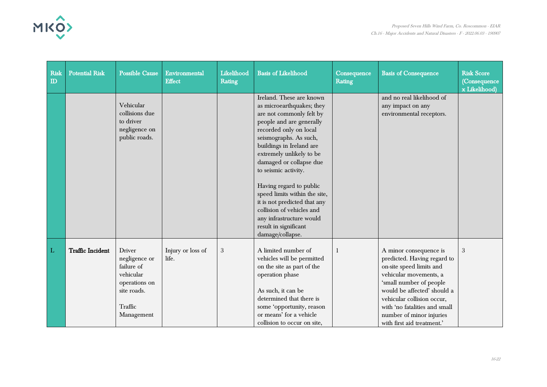

| Risk<br>$\mathbf{D}$ | <b>Potential Risk</b>   | <b>Possible Cause</b>                                                                                              | Environmental<br><b>Effect</b> | Likelihood<br>Rating | <b>Basis of Likelihood</b>                                                                                                                                                                                                                                                                                                                                                                                                                                                     | Consequence<br><b>Rating</b> | <b>Basis of Consequence</b>                                                                                                                                                                                                                                                                    | <b>Risk Score</b><br>(Consequence<br>x Likelihood) |
|----------------------|-------------------------|--------------------------------------------------------------------------------------------------------------------|--------------------------------|----------------------|--------------------------------------------------------------------------------------------------------------------------------------------------------------------------------------------------------------------------------------------------------------------------------------------------------------------------------------------------------------------------------------------------------------------------------------------------------------------------------|------------------------------|------------------------------------------------------------------------------------------------------------------------------------------------------------------------------------------------------------------------------------------------------------------------------------------------|----------------------------------------------------|
|                      |                         | Vehicular<br>collisions due<br>to driver<br>negligence on<br>public roads.                                         |                                |                      | Ireland. These are known<br>as microearthquakes; they<br>are not commonly felt by<br>people and are generally<br>recorded only on local<br>seismographs. As such,<br>buildings in Ireland are<br>extremely unlikely to be<br>damaged or collapse due<br>to seismic activity.<br>Having regard to public<br>speed limits within the site,<br>it is not predicted that any<br>collision of vehicles and<br>any infrastructure would<br>result in significant<br>damage/collapse. |                              | and no real likelihood of<br>any impact on any<br>environmental receptors.                                                                                                                                                                                                                     |                                                    |
| L                    | <b>Traffic Incident</b> | <b>Driver</b><br>negligence or<br>failure of<br>vehicular<br>operations on<br>site roads.<br>Traffic<br>Management | Injury or loss of<br>life.     | $\sqrt{3}$           | A limited number of<br>vehicles will be permitted<br>on the site as part of the<br>operation phase<br>As such, it can be<br>determined that there is<br>some 'opportunity, reason<br>or means' for a vehicle<br>collision to occur on site,                                                                                                                                                                                                                                    | 1                            | A minor consequence is<br>predicted. Having regard to<br>on-site speed limits and<br>vehicular movements, a<br>'small number of people<br>would be affected' should a<br>vehicular collision occur,<br>with 'no fatalities and small<br>number of minor injuries<br>with first aid treatment.' | 3                                                  |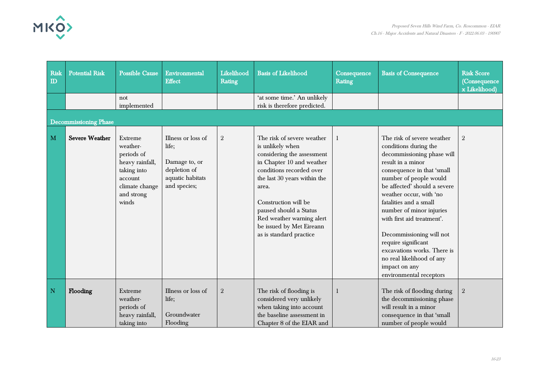

| <b>Risk</b><br>$\mathbf{D}$ | <b>Potential Risk</b>        | <b>Possible Cause</b>                                                                                                   | Environmental<br><b>Effect</b>                                                                   | Likelihood<br>Rating | <b>Basis of Likelihood</b>                                                                                                                                                                                                                                                                                           | Consequence<br>Rating | <b>Basis of Consequence</b>                                                                                                                                                                                                                                                                                                                                                                                                                                              | <b>Risk Score</b><br>(Consequence<br>x Likelihood) |
|-----------------------------|------------------------------|-------------------------------------------------------------------------------------------------------------------------|--------------------------------------------------------------------------------------------------|----------------------|----------------------------------------------------------------------------------------------------------------------------------------------------------------------------------------------------------------------------------------------------------------------------------------------------------------------|-----------------------|--------------------------------------------------------------------------------------------------------------------------------------------------------------------------------------------------------------------------------------------------------------------------------------------------------------------------------------------------------------------------------------------------------------------------------------------------------------------------|----------------------------------------------------|
|                             |                              | not<br>implemented                                                                                                      |                                                                                                  |                      | 'at some time.' An unlikely<br>risk is therefore predicted.                                                                                                                                                                                                                                                          |                       |                                                                                                                                                                                                                                                                                                                                                                                                                                                                          |                                                    |
|                             | <b>Decommissioning Phase</b> |                                                                                                                         |                                                                                                  |                      |                                                                                                                                                                                                                                                                                                                      |                       |                                                                                                                                                                                                                                                                                                                                                                                                                                                                          |                                                    |
| M                           | <b>Severe Weather</b>        | Extreme<br>weather-<br>periods of<br>heavy rainfall,<br>taking into<br>account<br>climate change<br>and strong<br>winds | Illness or loss of<br>life;<br>Damage to, or<br>depletion of<br>aquatic habitats<br>and species; | $\mathbf{2}$         | The risk of severe weather<br>is unlikely when<br>considering the assessment<br>in Chapter 10 and weather<br>conditions recorded over<br>the last 30 years within the<br>area.<br>Construction will be<br>paused should a Status<br>Red weather warning alert<br>be issued by Met Eireann<br>as is standard practice |                       | The risk of severe weather<br>conditions during the<br>decommissioning phase will<br>result in a minor<br>consequence in that 'small<br>number of people would<br>be affected' should a severe<br>weather occur, with 'no<br>fatalities and a small<br>number of minor injuries<br>with first aid treatment'.<br>Decommissioning will not<br>require significant<br>excavations works. There is<br>no real likelihood of any<br>impact on any<br>environmental receptors | $\boldsymbol{2}$                                   |
| $\mathbf N$                 | Flooding                     | Extreme<br>weather-<br>periods of<br>heavy rainfall,<br>taking into                                                     | Illness or loss of<br>life;<br>Groundwater<br>Flooding                                           | $\sqrt{2}$           | The risk of flooding is<br>considered very unlikely<br>when taking into account<br>the baseline assessment in<br>Chapter 8 of the EIAR and                                                                                                                                                                           |                       | The risk of flooding during<br>the decommissioning phase<br>will result in a minor<br>consequence in that 'small<br>number of people would                                                                                                                                                                                                                                                                                                                               | $\boldsymbol{2}$                                   |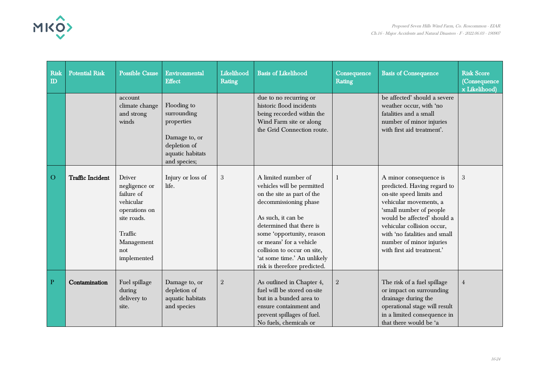

| Risk<br>$\mathbf{D}$ | <b>Potential Risk</b>   | <b>Possible Cause</b>                                                                                                             | Environmental<br><b>Effect</b>                                                                                | Likelihood<br>Rating | <b>Basis of Likelihood</b>                                                                                                                                                                                                                                                                                       | Consequence<br>Rating | <b>Basis of Consequence</b>                                                                                                                                                                                                                                                                    | <b>Risk Score</b><br>(Consequence<br>x Likelihood) |
|----------------------|-------------------------|-----------------------------------------------------------------------------------------------------------------------------------|---------------------------------------------------------------------------------------------------------------|----------------------|------------------------------------------------------------------------------------------------------------------------------------------------------------------------------------------------------------------------------------------------------------------------------------------------------------------|-----------------------|------------------------------------------------------------------------------------------------------------------------------------------------------------------------------------------------------------------------------------------------------------------------------------------------|----------------------------------------------------|
|                      |                         | account<br>climate change<br>and strong<br>winds                                                                                  | Flooding to<br>surrounding<br>properties<br>Damage to, or<br>depletion of<br>aquatic habitats<br>and species; |                      | due to no recurring or<br>historic flood incidents<br>being recorded within the<br>Wind Farm site or along<br>the Grid Connection route.                                                                                                                                                                         |                       | be affected' should a severe<br>weather occur, with 'no<br>fatalities and a small<br>number of minor injuries<br>with first aid treatment'.                                                                                                                                                    |                                                    |
| $\overline{O}$       | <b>Traffic Incident</b> | Driver<br>negligence or<br>failure of<br>vehicular<br>operations on<br>site roads.<br>Traffic<br>Management<br>not<br>implemented | Injury or loss of<br>life.                                                                                    | $\sqrt{3}$           | A limited number of<br>vehicles will be permitted<br>on the site as part of the<br>decommissioning phase<br>As such, it can be<br>determined that there is<br>some 'opportunity, reason<br>or means' for a vehicle<br>collision to occur on site,<br>'at some time.' An unlikely<br>risk is therefore predicted. | -1                    | A minor consequence is<br>predicted. Having regard to<br>on-site speed limits and<br>vehicular movements, a<br>'small number of people<br>would be affected' should a<br>vehicular collision occur,<br>with 'no fatalities and small<br>number of minor injuries<br>with first aid treatment.' | 3                                                  |
| $\mathbf{P}$         | Contamination           | Fuel spillage<br>during<br>delivery to<br>site.                                                                                   | Damage to, or<br>depletion of<br>aquatic habitats<br>and species                                              | $\overline{2}$       | As outlined in Chapter 4,<br>fuel will be stored on-site<br>but in a bunded area to<br>ensure containment and<br>prevent spillages of fuel.<br>No fuels, chemicals or                                                                                                                                            | $\overline{2}$        | The risk of a fuel spillage<br>or impact on surrounding<br>drainage during the<br>operational stage will result<br>in a limited consequence in<br>that there would be 'a                                                                                                                       | $\overline{4}$                                     |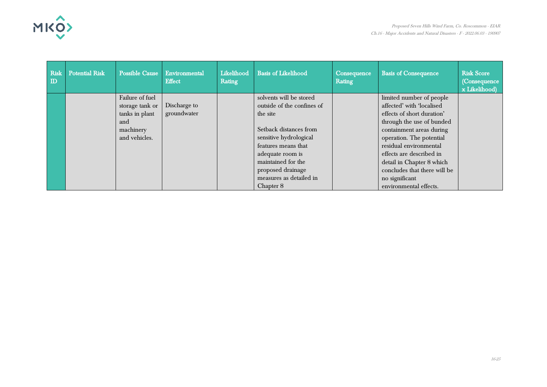

| <b>Risk</b><br>$\mathbf{D}$ | <b>Potential Risk</b> | <b>Possible Cause</b> | Environmental<br><b>Effect</b> | Likelihood<br>Rating | <b>Basis of Likelihood</b> | Consequence<br>Rating | <b>Basis of Consequence</b>  | <b>Risk Score</b><br>(Consequence)<br>x Likelihood) |
|-----------------------------|-----------------------|-----------------------|--------------------------------|----------------------|----------------------------|-----------------------|------------------------------|-----------------------------------------------------|
|                             |                       | Failure of fuel       |                                |                      | solvents will be stored    |                       | limited number of people     |                                                     |
|                             |                       | storage tank or       | Discharge to                   |                      | outside of the confines of |                       | affected' with 'localised    |                                                     |
|                             |                       | tanks in plant        | groundwater                    |                      | the site                   |                       | effects of short duration'   |                                                     |
|                             |                       | and                   |                                |                      |                            |                       | through the use of bunded    |                                                     |
|                             |                       | machinery             |                                |                      | Setback distances from     |                       | containment areas during     |                                                     |
|                             |                       | and vehicles.         |                                |                      | sensitive hydrological     |                       | operation. The potential     |                                                     |
|                             |                       |                       |                                |                      | features means that        |                       | residual environmental       |                                                     |
|                             |                       |                       |                                |                      | adequate room is           |                       | effects are described in     |                                                     |
|                             |                       |                       |                                |                      | maintained for the         |                       | detail in Chapter 8 which    |                                                     |
|                             |                       |                       |                                |                      | proposed drainage          |                       | concludes that there will be |                                                     |
|                             |                       |                       |                                |                      | measures as detailed in    |                       | no significant               |                                                     |
|                             |                       |                       |                                |                      | Chapter 8                  |                       | environmental effects.       |                                                     |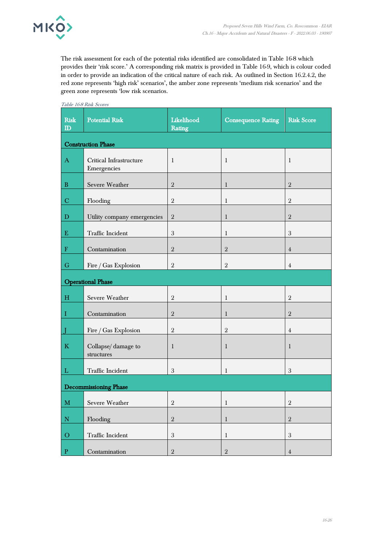

The risk assessment for each of the potential risks identified are consolidated in Table 16-8 which provides their 'risk score.' A corresponding risk matrix is provided in Table 16-9, which is colour coded in order to provide an indication of the critical nature of each risk. As outlined in Section 16.2.4.2, the red zone represents 'high risk' scenarios', the amber zone represents 'medium risk scenarios' and the green zone represents 'low risk scenarios.

| <b>Risk</b><br>$\mathbf{D}$ | <b>Potential Risk</b>                  | Likelihood<br>Rating | <b>Consequence Rating</b> | <b>Risk Score</b> |
|-----------------------------|----------------------------------------|----------------------|---------------------------|-------------------|
|                             | <b>Construction Phase</b>              |                      |                           |                   |
| $\bf{A}$                    | Critical Infrastructure<br>Emergencies | $\mathbf{1}$         | $\mathbf{1}$              | $\mathbf{1}$      |
| $\, {\bf B}$                | Severe Weather                         | $\sqrt{2}$           | $\mathbf{1}$              | $\,2\,$           |
| $\mathbf C$                 | Flooding                               | $\overline{2}$       | $\mathbf{1}$              | $\sqrt{2}$        |
| $\mathbf D$                 | Utility company emergencies            | $\overline{2}$       | $\mathbf{1}$              | $\sqrt{2}$        |
| ${\bf E}$                   | Traffic Incident                       | $\mathfrak{3}$       | 1                         | $\mathfrak{B}$    |
| $\mathbf F$                 | Contamination                          | $\sqrt{2}$           | $\sqrt{2}$                | $\overline{4}$    |
| ${\bf G}$                   | Fire / Gas Explosion                   | $\overline{2}$       | $\sqrt{2}$                | 4                 |
|                             | <b>Operational Phase</b>               |                      |                           |                   |
| H                           | Severe Weather                         | $\overline{2}$       | $\mathbf{1}$              | $\mathbf{2}$      |
| $\;$ I                      | Contamination                          | $\sqrt{2}$           | 1                         | $\sqrt{2}$        |
| $\overline{J}$              | Fire / Gas Explosion                   | $\mathbf{2}$         | $\sqrt{2}$                | $\overline{4}$    |
| $\mathbf K$                 | Collapse/damage to<br>structures       | $\mathbf{1}$         | $\mathbf{1}$              | $\mathbf{1}$      |
| $\mathbf{L}$                | Traffic Incident                       | $\sqrt{3}$           | $\mathbf{1}$              | $\mathfrak{B}$    |
|                             | <b>Decommissioning Phase</b>           |                      |                           |                   |
| $\mathbf{M}$                | Severe Weather                         | $\sqrt{2}$           | $\mathbf{1}$              | $\sqrt{2}$        |
| $\mathbf N$                 | Flooding                               | $\sqrt{2}$           | $\,1\,$                   | $\,2$             |
| $\overline{O}$              | Traffic Incident                       | $\sqrt{3}$           | $\mathbf{1}$              | $\sqrt{3}$        |
| $\vert\mathbf{P}\vert$      | Contamination                          | $\,2\,$              | $\,2\,$                   | $\overline{4}$    |

Table 16-8 Risk Scores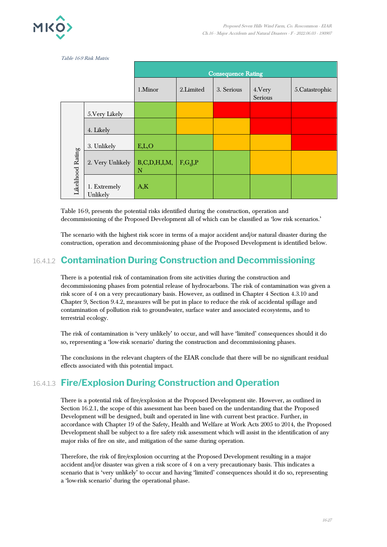

|                   | Table 16-9 Risk Matrix   |                        |           |                           |                    |                 |
|-------------------|--------------------------|------------------------|-----------|---------------------------|--------------------|-----------------|
|                   |                          |                        |           | <b>Consequence Rating</b> |                    |                 |
|                   |                          | 1.Minor                | 2.Limited | 3. Serious                | 4. Very<br>Serious | 5. Catastrophic |
|                   | 5. Very Likely           |                        |           |                           |                    |                 |
|                   | 4. Likely                |                        |           |                           |                    |                 |
|                   | 3. Unlikely              | E,L,O                  |           |                           |                    |                 |
| Likelihood Rating | 2. Very Unlikely         | B, C, D, H, I, M,<br>N | F,G,J,P   |                           |                    |                 |
|                   | 1. Extremely<br>Unlikely | A,K                    |           |                           |                    |                 |

Table 16-9, presents the potential risks identified during the construction, operation and decommissioning of the Proposed Development all of which can be classified as 'low risk scenarios.'

The scenario with the highest risk score in terms of a major accident and/or natural disaster during the construction, operation and decommissioning phase of the Proposed Development is identified below.

#### 16.4.1.2 **Contamination During Construction and Decommissioning**

There is a potential risk of contamination from site activities during the construction and decommissioning phases from potential release of hydrocarbons. The risk of contamination was given a risk score of 4 on a very precautionary basis. However, as outlined in Chapter 4 Section 4.3.10 and Chapter 9, Section 9.4.2, measures will be put in place to reduce the risk of accidental spillage and contamination of pollution risk to groundwater, surface water and associated ecosystems, and to terrestrial ecology.

The risk of contamination is 'very unlikely' to occur, and will have 'limited' consequences should it do so, representing a 'low-risk scenario' during the construction and decommissioning phases.

The conclusions in the relevant chapters of the EIAR conclude that there will be no significant residual effects associated with this potential impact.

### 16.4.1.3 **Fire/Explosion During Construction and Operation**

There is a potential risk of fire/explosion at the Proposed Development site. However, as outlined in Section 16.2.1, the scope of this assessment has been based on the understanding that the Proposed Development will be designed, built and operated in line with current best practice. Further, in accordance with Chapter 19 of the Safety, Health and Welfare at Work Acts 2005 to 2014, the Proposed Development shall be subject to a fire safety risk assessment which will assist in the identification of any major risks of fire on site, and mitigation of the same during operation.

Therefore, the risk of fire/explosion occurring at the Proposed Development resulting in a major accident and/or disaster was given a risk score of 4 on a very precautionary basis. This indicates a scenario that is 'very unlikely' to occur and having 'limited' consequences should it do so, representing a 'low-risk scenario' during the operational phase.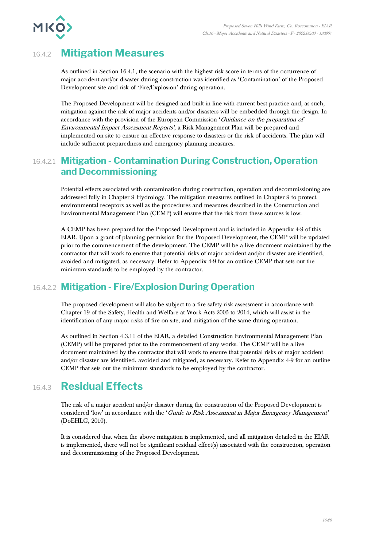

# 16.4.2 **Mitigation Measures**

As outlined in Section 16.4.1, the scenario with the highest risk score in terms of the occurrence of major accident and/or disaster during construction was identified as 'Contamination' of the Proposed Development site and risk of 'Fire/Explosion' during operation.

The Proposed Development will be designed and built in line with current best practice and, as such, mitigation against the risk of major accidents and/or disasters will be embedded through the design. In accordance with the provision of the European Commission 'Guidance on the preparation of Environmental Impact Assessment Reports', a Risk Management Plan will be prepared and implemented on site to ensure an effective response to disasters or the risk of accidents. The plan will include sufficient preparedness and emergency planning measures.

#### 16.4.2.1 **Mitigation - Contamination During Construction, Operation and Decommissioning**

Potential effects associated with contamination during construction, operation and decommissioning are addressed fully in Chapter 9 Hydrology. The mitigation measures outlined in Chapter 9 to protect environmental receptors as well as the procedures and measures described in the Construction and Environmental Management Plan (CEMP) will ensure that the risk from these sources is low.

A CEMP has been prepared for the Proposed Development and is included in Appendix 4-9 of this EIAR. Upon a grant of planning permission for the Proposed Development, the CEMP will be updated prior to the commencement of the development. The CEMP will be a live document maintained by the contractor that will work to ensure that potential risks of major accident and/or disaster are identified, avoided and mitigated, as necessary. Refer to Appendix 4-9 for an outline CEMP that sets out the minimum standards to be employed by the contractor.

### 16.4.2.2 **Mitigation - Fire/Explosion During Operation**

The proposed development will also be subject to a fire safety risk assessment in accordance with Chapter 19 of the Safety, Health and Welfare at Work Acts 2005 to 2014, which will assist in the identification of any major risks of fire on site, and mitigation of the same during operation.

As outlined in Section 4.3.11 of the EIAR, a detailed Construction Environmental Management Plan (CEMP) will be prepared prior to the commencement of any works. The CEMP will be a live document maintained by the contractor that will work to ensure that potential risks of major accident and/or disaster are identified, avoided and mitigated, as necessary. Refer to Appendix 4-9 for an outline CEMP that sets out the minimum standards to be employed by the contractor.

# 16.4.3 **Residual Effects**

The risk of a major accident and/or disaster during the construction of the Proposed Development is considered 'low' in accordance with the 'Guide to Risk Assessment in Major Emergency Management' (DoEHLG, 2010).

It is considered that when the above mitigation is implemented, and all mitigation detailed in the EIAR is implemented, there will not be significant residual effect(s) associated with the construction, operation and decommissioning of the Proposed Development.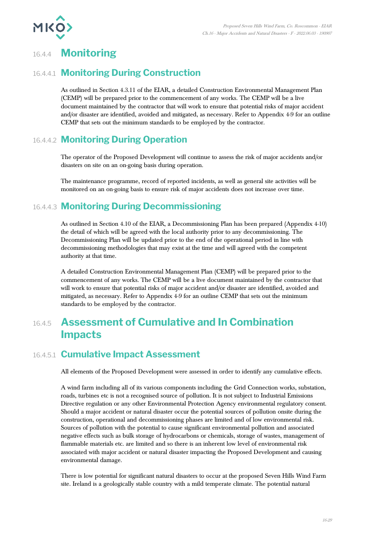

# 16.4.4 **Monitoring**

### 16.4.4.1 **Monitoring During Construction**

As outlined in Section 4.3.11 of the EIAR, a detailed Construction Environmental Management Plan (CEMP) will be prepared prior to the commencement of any works. The CEMP will be a live document maintained by the contractor that will work to ensure that potential risks of major accident and/or disaster are identified, avoided and mitigated, as necessary. Refer to Appendix 4-9 for an outline CEMP that sets out the minimum standards to be employed by the contractor.

### 16.4.4.2 **Monitoring During Operation**

The operator of the Proposed Development will continue to assess the risk of major accidents and/or disasters on site on an on-going basis during operation.

The maintenance programme, record of reported incidents, as well as general site activities will be monitored on an on-going basis to ensure risk of major accidents does not increase over time.

### 16.4.4.3 **Monitoring During Decommissioning**

As outlined in Section 4.10 of the EIAR, a Decommissioning Plan has been prepared (Appendix 4-10) the detail of which will be agreed with the local authority prior to any decommissioning. The Decommissioning Plan will be updated prior to the end of the operational period in line with decommissioning methodologies that may exist at the time and will agreed with the competent authority at that time.

A detailed Construction Environmental Management Plan (CEMP) will be prepared prior to the commencement of any works. The CEMP will be a live document maintained by the contractor that will work to ensure that potential risks of major accident and/or disaster are identified, avoided and mitigated, as necessary. Refer to Appendix 4-9 for an outline CEMP that sets out the minimum standards to be employed by the contractor.

# 16.4.5 **Assessment of Cumulative and In Combination Impacts**

#### 16.4.5.1 **Cumulative Impact Assessment**

All elements of the Proposed Development were assessed in order to identify any cumulative effects.

A wind farm including all of its various components including the Grid Connection works, substation, roads, turbines etc is not a recognised source of pollution. It is not subject to Industrial Emissions Directive regulation or any other Environmental Protection Agency environmental regulatory consent. Should a major accident or natural disaster occur the potential sources of pollution onsite during the construction, operational and decommissioning phases are limited and of low environmental risk. Sources of pollution with the potential to cause significant environmental pollution and associated negative effects such as bulk storage of hydrocarbons or chemicals, storage of wastes, management of flammable materials etc. are limited and so there is an inherent low level of environmental risk associated with major accident or natural disaster impacting the Proposed Development and causing environmental damage.

There is low potential for significant natural disasters to occur at the proposed Seven Hills Wind Farm site. Ireland is a geologically stable country with a mild temperate climate. The potential natural